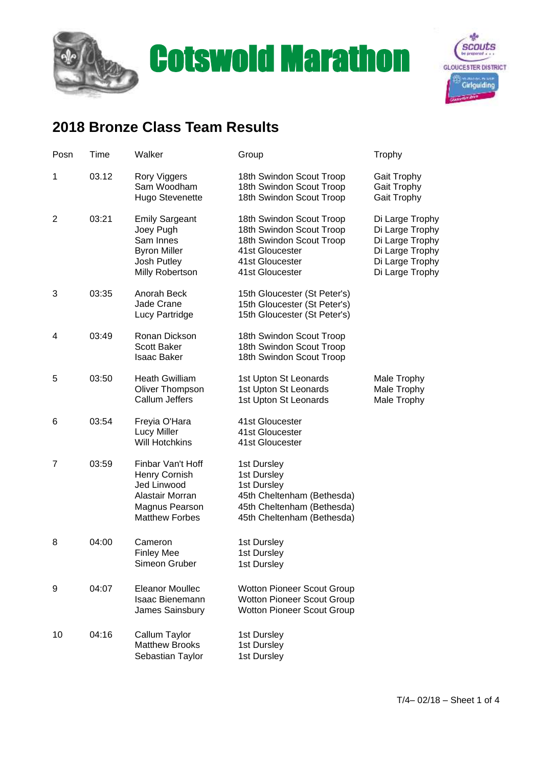



## **2018 Bronze Class Team Results**

| Posn           | Time  | Walker                                                                                                          | Group                                                                                                                                     | Trophy                                                                                                         |
|----------------|-------|-----------------------------------------------------------------------------------------------------------------|-------------------------------------------------------------------------------------------------------------------------------------------|----------------------------------------------------------------------------------------------------------------|
| 1              | 03.12 | Rory Viggers<br>Sam Woodham<br><b>Hugo Stevenette</b>                                                           | 18th Swindon Scout Troop<br>18th Swindon Scout Troop<br>18th Swindon Scout Troop                                                          | Gait Trophy<br>Gait Trophy<br>Gait Trophy                                                                      |
| $\overline{2}$ | 03:21 | <b>Emily Sargeant</b><br>Joey Pugh<br>Sam Innes<br><b>Byron Miller</b><br><b>Josh Putley</b><br>Milly Robertson | 18th Swindon Scout Troop<br>18th Swindon Scout Troop<br>18th Swindon Scout Troop<br>41st Gloucester<br>41st Gloucester<br>41st Gloucester | Di Large Trophy<br>Di Large Trophy<br>Di Large Trophy<br>Di Large Trophy<br>Di Large Trophy<br>Di Large Trophy |
| 3              | 03:35 | Anorah Beck<br><b>Jade Crane</b><br>Lucy Partridge                                                              | 15th Gloucester (St Peter's)<br>15th Gloucester (St Peter's)<br>15th Gloucester (St Peter's)                                              |                                                                                                                |
| 4              | 03:49 | Ronan Dickson<br><b>Scott Baker</b><br><b>Isaac Baker</b>                                                       | 18th Swindon Scout Troop<br>18th Swindon Scout Troop<br>18th Swindon Scout Troop                                                          |                                                                                                                |
| 5              | 03:50 | <b>Heath Gwilliam</b><br>Oliver Thompson<br>Callum Jeffers                                                      | 1st Upton St Leonards<br>1st Upton St Leonards<br>1st Upton St Leonards                                                                   | Male Trophy<br>Male Trophy<br>Male Trophy                                                                      |
| 6              | 03:54 | Freyia O'Hara<br><b>Lucy Miller</b><br><b>Will Hotchkins</b>                                                    | 41st Gloucester<br>41st Gloucester<br>41st Gloucester                                                                                     |                                                                                                                |
| $\overline{7}$ | 03:59 | Finbar Van't Hoff<br>Henry Cornish<br>Jed Linwood<br>Alastair Morran<br>Magnus Pearson<br><b>Matthew Forbes</b> | 1st Dursley<br>1st Dursley<br>1st Dursley<br>45th Cheltenham (Bethesda)<br>45th Cheltenham (Bethesda)<br>45th Cheltenham (Bethesda)       |                                                                                                                |
| 8              | 04:00 | Cameron<br><b>Finley Mee</b><br>Simeon Gruber                                                                   | 1st Dursley<br>1st Dursley<br>1st Dursley                                                                                                 |                                                                                                                |
| 9              | 04:07 | <b>Eleanor Moullec</b><br><b>Isaac Bienemann</b><br>James Sainsbury                                             | Wotton Pioneer Scout Group<br><b>Wotton Pioneer Scout Group</b><br><b>Wotton Pioneer Scout Group</b>                                      |                                                                                                                |
| 10             | 04:16 | Callum Taylor<br><b>Matthew Brooks</b><br>Sebastian Taylor                                                      | 1st Dursley<br>1st Dursley<br>1st Dursley                                                                                                 |                                                                                                                |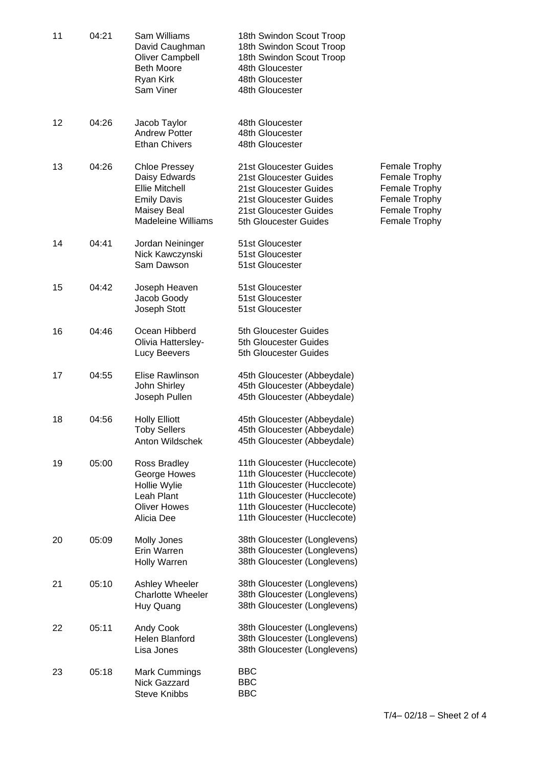| 11 | 04:21 | Sam Williams<br>David Caughman<br><b>Oliver Campbell</b><br><b>Beth Moore</b><br>Ryan Kirk<br>Sam Viner                          | 18th Swindon Scout Troop<br>18th Swindon Scout Troop<br>18th Swindon Scout Troop<br>48th Gloucester<br>48th Gloucester<br>48th Gloucester                                                    |                                                                                                    |
|----|-------|----------------------------------------------------------------------------------------------------------------------------------|----------------------------------------------------------------------------------------------------------------------------------------------------------------------------------------------|----------------------------------------------------------------------------------------------------|
| 12 | 04:26 | Jacob Taylor<br><b>Andrew Potter</b><br><b>Ethan Chivers</b>                                                                     | 48th Gloucester<br>48th Gloucester<br>48th Gloucester                                                                                                                                        |                                                                                                    |
| 13 | 04:26 | <b>Chloe Pressey</b><br>Daisy Edwards<br><b>Ellie Mitchell</b><br><b>Emily Davis</b><br>Maisey Beal<br><b>Madeleine Williams</b> | 21st Gloucester Guides<br>21st Gloucester Guides<br>21st Gloucester Guides<br>21st Gloucester Guides<br>21st Gloucester Guides<br>5th Gloucester Guides                                      | Female Trophy<br>Female Trophy<br>Female Trophy<br>Female Trophy<br>Female Trophy<br>Female Trophy |
| 14 | 04:41 | Jordan Neininger<br>Nick Kawczynski<br>Sam Dawson                                                                                | 51st Gloucester<br>51st Gloucester<br>51st Gloucester                                                                                                                                        |                                                                                                    |
| 15 | 04:42 | Joseph Heaven<br>Jacob Goody<br>Joseph Stott                                                                                     | 51st Gloucester<br>51st Gloucester<br>51st Gloucester                                                                                                                                        |                                                                                                    |
| 16 | 04:46 | Ocean Hibberd<br>Olivia Hattersley-<br>Lucy Beevers                                                                              | 5th Gloucester Guides<br>5th Gloucester Guides<br>5th Gloucester Guides                                                                                                                      |                                                                                                    |
| 17 | 04:55 | Elise Rawlinson<br>John Shirley<br>Joseph Pullen                                                                                 | 45th Gloucester (Abbeydale)<br>45th Gloucester (Abbeydale)<br>45th Gloucester (Abbeydale)                                                                                                    |                                                                                                    |
| 18 | 04:56 | <b>Holly Elliott</b><br><b>Toby Sellers</b><br>Anton Wildschek                                                                   | 45th Gloucester (Abbeydale)<br>45th Gloucester (Abbeydale)<br>45th Gloucester (Abbeydale)                                                                                                    |                                                                                                    |
| 19 | 05:00 | Ross Bradley<br>George Howes<br>Hollie Wylie<br>Leah Plant<br><b>Oliver Howes</b><br>Alicia Dee                                  | 11th Gloucester (Hucclecote)<br>11th Gloucester (Hucclecote)<br>11th Gloucester (Hucclecote)<br>11th Gloucester (Hucclecote)<br>11th Gloucester (Hucclecote)<br>11th Gloucester (Hucclecote) |                                                                                                    |
| 20 | 05:09 | Molly Jones<br>Erin Warren<br>Holly Warren                                                                                       | 38th Gloucester (Longlevens)<br>38th Gloucester (Longlevens)<br>38th Gloucester (Longlevens)                                                                                                 |                                                                                                    |
| 21 | 05:10 | Ashley Wheeler<br><b>Charlotte Wheeler</b><br>Huy Quang                                                                          | 38th Gloucester (Longlevens)<br>38th Gloucester (Longlevens)<br>38th Gloucester (Longlevens)                                                                                                 |                                                                                                    |
| 22 | 05:11 | Andy Cook<br>Helen Blanford<br>Lisa Jones                                                                                        | 38th Gloucester (Longlevens)<br>38th Gloucester (Longlevens)<br>38th Gloucester (Longlevens)                                                                                                 |                                                                                                    |
| 23 | 05:18 | <b>Mark Cummings</b><br><b>Nick Gazzard</b><br><b>Steve Knibbs</b>                                                               | <b>BBC</b><br><b>BBC</b><br><b>BBC</b>                                                                                                                                                       |                                                                                                    |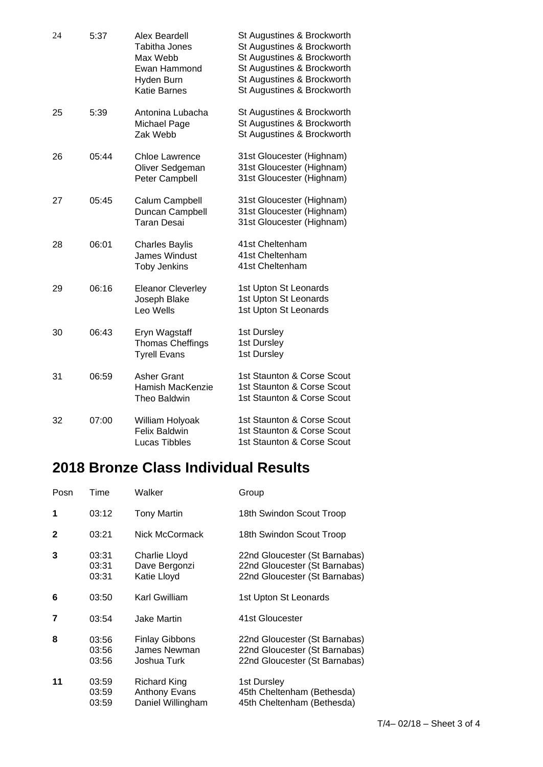| 24 | 5:37  | Alex Beardell<br><b>Tabitha Jones</b><br>Max Webb<br>Ewan Hammond<br>Hyden Burn<br><b>Katie Barnes</b> | St Augustines & Brockworth<br>St Augustines & Brockworth<br>St Augustines & Brockworth<br>St Augustines & Brockworth<br>St Augustines & Brockworth<br>St Augustines & Brockworth |
|----|-------|--------------------------------------------------------------------------------------------------------|----------------------------------------------------------------------------------------------------------------------------------------------------------------------------------|
| 25 | 5:39  | Antonina Lubacha<br>Michael Page<br>Zak Webb                                                           | St Augustines & Brockworth<br>St Augustines & Brockworth<br>St Augustines & Brockworth                                                                                           |
| 26 | 05:44 | <b>Chloe Lawrence</b><br>Oliver Sedgeman<br>Peter Campbell                                             | 31st Gloucester (Highnam)<br>31st Gloucester (Highnam)<br>31st Gloucester (Highnam)                                                                                              |
| 27 | 05:45 | Calum Campbell<br>Duncan Campbell<br><b>Taran Desai</b>                                                | 31st Gloucester (Highnam)<br>31st Gloucester (Highnam)<br>31st Gloucester (Highnam)                                                                                              |
| 28 | 06:01 | <b>Charles Baylis</b><br><b>James Windust</b><br><b>Toby Jenkins</b>                                   | 41st Cheltenham<br>41st Cheltenham<br>41st Cheltenham                                                                                                                            |
| 29 | 06:16 | <b>Eleanor Cleverley</b><br>Joseph Blake<br>Leo Wells                                                  | 1st Upton St Leonards<br>1st Upton St Leonards<br>1st Upton St Leonards                                                                                                          |
| 30 | 06:43 | Eryn Wagstaff<br><b>Thomas Cheffings</b><br><b>Tyrell Evans</b>                                        | 1st Dursley<br>1st Dursley<br>1st Dursley                                                                                                                                        |
| 31 | 06:59 | <b>Asher Grant</b><br>Hamish MacKenzie<br>Theo Baldwin                                                 | 1st Staunton & Corse Scout<br>1st Staunton & Corse Scout<br>1st Staunton & Corse Scout                                                                                           |
| 32 | 07:00 | William Holyoak<br><b>Felix Baldwin</b><br>Lucas Tibbles                                               | 1st Staunton & Corse Scout<br>1st Staunton & Corse Scout<br>1st Staunton & Corse Scout                                                                                           |

## **2018 Bronze Class Individual Results**

| Posn         | Time                    | Walker                                                           | Group                                                                                           |
|--------------|-------------------------|------------------------------------------------------------------|-------------------------------------------------------------------------------------------------|
| 1            | 03:12                   | <b>Tony Martin</b>                                               | 18th Swindon Scout Troop                                                                        |
| $\mathbf{2}$ | 03:21                   | Nick McCormack                                                   | 18th Swindon Scout Troop                                                                        |
| 3            | 03:31<br>03:31<br>03:31 | Charlie Lloyd<br>Dave Bergonzi<br>Katie Lloyd                    | 22nd Gloucester (St Barnabas)<br>22nd Gloucester (St Barnabas)<br>22nd Gloucester (St Barnabas) |
| 6            | 03:50                   | Karl Gwilliam                                                    | 1st Upton St Leonards                                                                           |
| 7            | 03:54                   | <b>Jake Martin</b>                                               | 41st Gloucester                                                                                 |
| 8            | 03:56<br>03:56<br>03:56 | <b>Finlay Gibbons</b><br>James Newman<br>Joshua Turk             | 22nd Gloucester (St Barnabas)<br>22nd Gloucester (St Barnabas)<br>22nd Gloucester (St Barnabas) |
| 11           | 03:59<br>03:59<br>03:59 | <b>Richard King</b><br><b>Anthony Evans</b><br>Daniel Willingham | 1st Dursley<br>45th Cheltenham (Bethesda)<br>45th Cheltenham (Bethesda)                         |